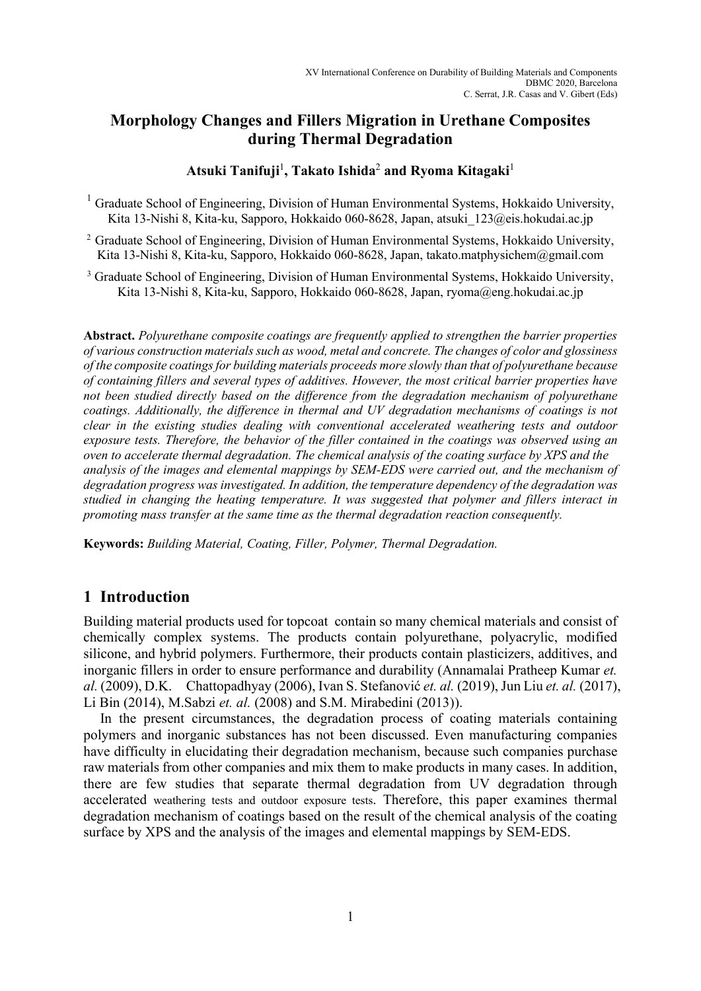# **Morphology Changes and Fillers Migration in Urethane Composites during Thermal Degradation**

### **Atsuki Tanifuji**<sup>1</sup> **, Takato Ishida**<sup>2</sup>  **and Ryoma Kitagaki**<sup>1</sup>

<sup>1</sup> Graduate School of Engineering, Division of Human Environmental Systems, Hokkaido University, Kita 13-Nishi 8, Kita-ku, Sapporo, Hokkaido 060-8628, Japan, atsuki\_123@eis.hokudai.ac.jp

<sup>2</sup> Graduate School of Engineering, Division of Human Environmental Systems, Hokkaido University, Kita 13-Nishi 8, Kita-ku, Sapporo, Hokkaido 060-8628, Japan, takato.matphysichem@gmail.com

<sup>3</sup> Graduate School of Engineering, Division of Human Environmental Systems, Hokkaido University, Kita 13-Nishi 8, Kita-ku, Sapporo, Hokkaido 060-8628, Japan, ryoma@eng.hokudai.ac.jp

**Abstract.** *Polyurethane composite coatings are frequently applied to strengthen the barrier properties of various construction materials such as wood, metal and concrete. The changes of color and glossiness of the composite coatings for building materials proceeds more slowly than that of polyurethane because of containing fillers and several types of additives. However, the most critical barrier properties have not been studied directly based on the difference from the degradation mechanism of polyurethane coatings. Additionally, the difference in thermal and UV degradation mechanisms of coatings is not clear in the existing studies dealing with conventional accelerated weathering tests and outdoor exposure tests. Therefore, the behavior of the filler contained in the coatings was observed using an oven to accelerate thermal degradation. The chemical analysis of the coating surface by XPS and the analysis of the images and elemental mappings by SEM-EDS were carried out, and the mechanism of degradation progress was investigated. In addition, the temperature dependency of the degradation was studied in changing the heating temperature. It was suggested that polymer and fillers interact in promoting mass transfer at the same time as the thermal degradation reaction consequently.* 

**Keywords:** *Building Material, Coating, Filler, Polymer, Thermal Degradation.* 

### **1 Introduction**

Building material products used for topcoat contain so many chemical materials and consist of chemically complex systems. The products contain polyurethane, polyacrylic, modified silicone, and hybrid polymers. Furthermore, their products contain plasticizers, additives, and inorganic fillers in order to ensure performance and durability (Annamalai Pratheep Kumar *et. al.* (2009), D.K. Chattopadhyay (2006), Ivan S. Stefanović *et. al.* (2019), Jun Liu *et. al.* (2017), Li Bin (2014), M.Sabzi *et. al.* (2008) and S.M. Mirabedini (2013)).

In the present circumstances, the degradation process of coating materials containing polymers and inorganic substances has not been discussed. Even manufacturing companies have difficulty in elucidating their degradation mechanism, because such companies purchase raw materials from other companies and mix them to make products in many cases. In addition, there are few studies that separate thermal degradation from UV degradation through accelerated weathering tests and outdoor exposure tests. Therefore, this paper examines thermal degradation mechanism of coatings based on the result of the chemical analysis of the coating surface by XPS and the analysis of the images and elemental mappings by SEM-EDS.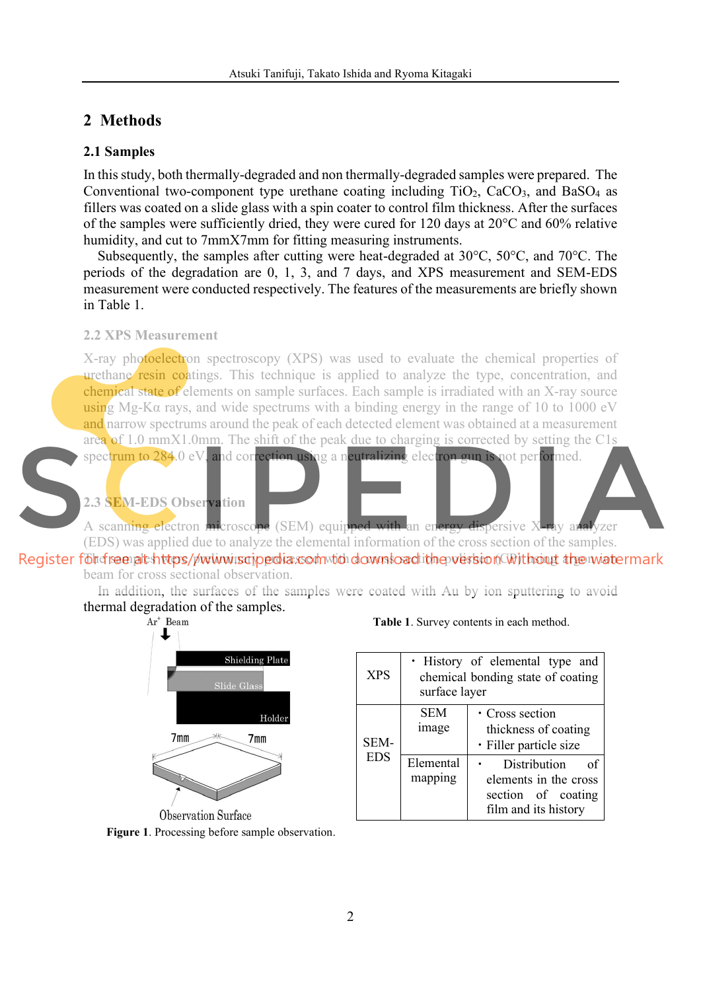## **2 Methods**

### **2.1 Samples**

In this study, both thermally-degraded and non thermally-degraded samples were prepared. The Conventional two-component type urethane coating including  $TiO<sub>2</sub>$ , CaCO<sub>3</sub>, and BaSO<sub>4</sub> as fillers was coated on a slide glass with a spin coater to control film thickness. After the surfaces of the samples were sufficiently dried, they were cured for 120 days at 20°C and 60% relative humidity, and cut to 7mmX7mm for fitting measuring instruments.

Subsequently, the samples after cutting were heat-degraded at 30°C, 50°C, and 70°C. The periods of the degradation are 0, 1, 3, and 7 days, and XPS measurement and SEM-EDS measurement were conducted respectively. The features of the measurements are briefly shown in Table 1.

### **2.2 XPS Measurement**

X-ray photoelectron spectroscopy (XPS) was used to evaluate the chemical properties of urethane resin coatings. This technique is applied to analyze the type, concentration, and chemical state of elements on sample surfaces. Each sample is irradiated with an X-ray source using Mg-Kα rays, and wide spectrums with a binding energy in the range of 10 to 1000 eV and narrow spectrums around the peak of each detected element was obtained at a measurement area of 1.0 mmX1.0mm. The shift of the peak due to charging is corrected by setting the C1s

spectrum to 284.0 eV, and correction using a neutralizing electron gun is not performed.

### **2.3 SEM-EDS Observation**

A scanning electron microscope (SEM) equipped with an energy dispersive X-ray analyzer (EDS) was applied due to analyze the elemental information of the cross section of the samples. Register föndreen at https/pwwwiscipedia.com to download the version Without the watermark beam for cross sectional observation.

In addition, the surfaces of the samples were coated with Au by ion sputtering to avoid thermal degradation of the samples.<br> $Ar^+$  Beam



**Observation Surface Figure 1**. Processing before sample observation.

#### **Table 1**. Survey contents in each method.

| <b>XPS</b>         | • History of elemental type and<br>chemical bonding state of coating<br>surface layer |                                                                                           |
|--------------------|---------------------------------------------------------------------------------------|-------------------------------------------------------------------------------------------|
| SEM-<br><b>EDS</b> | <b>SEM</b><br>image                                                                   | • Cross section<br>thickness of coating<br>· Filler particle size                         |
|                    | Elemental<br>mapping                                                                  | Distribution<br>οf<br>elements in the cross<br>section of coating<br>film and its history |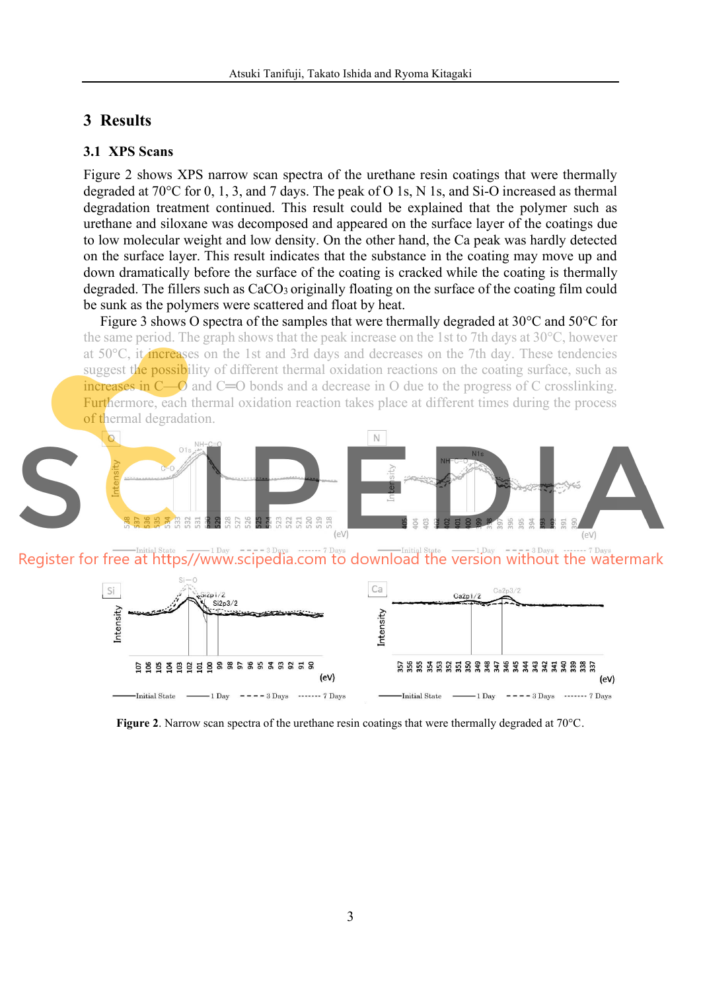## **3 Results**

### **3.1 XPS Scans**

Figure 2 shows XPS narrow scan spectra of the urethane resin coatings that were thermally degraded at 70°C for 0, 1, 3, and 7 days. The peak of O 1s, N 1s, and Si-O increased as thermal degradation treatment continued. This result could be explained that the polymer such as urethane and siloxane was decomposed and appeared on the surface layer of the coatings due to low molecular weight and low density. On the other hand, the Ca peak was hardly detected on the surface layer. This result indicates that the substance in the coating may move up and down dramatically before the surface of the coating is cracked while the coating is thermally degraded. The fillers such as CaCO<sub>3</sub> originally floating on the surface of the coating film could be sunk as the polymers were scattered and float by heat.

Figure 3 shows O spectra of the samples that were thermally degraded at 30°C and 50°C for the same period. The graph shows that the peak increase on the 1st to 7th days at 30°C, however at 50°C, it increases on the 1st and 3rd days and decreases on the 7th day. These tendencies suggest the possibility of different thermal oxidation reactions on the coating surface, such as increases in C—O and C=O bonds and a decrease in O due to the progress of C crosslinking. Furthermore, each thermal oxidation reaction takes place at different times during the process of thermal degradation.



**Figure 2**. Narrow scan spectra of the urethane resin coatings that were thermally degraded at 70°C.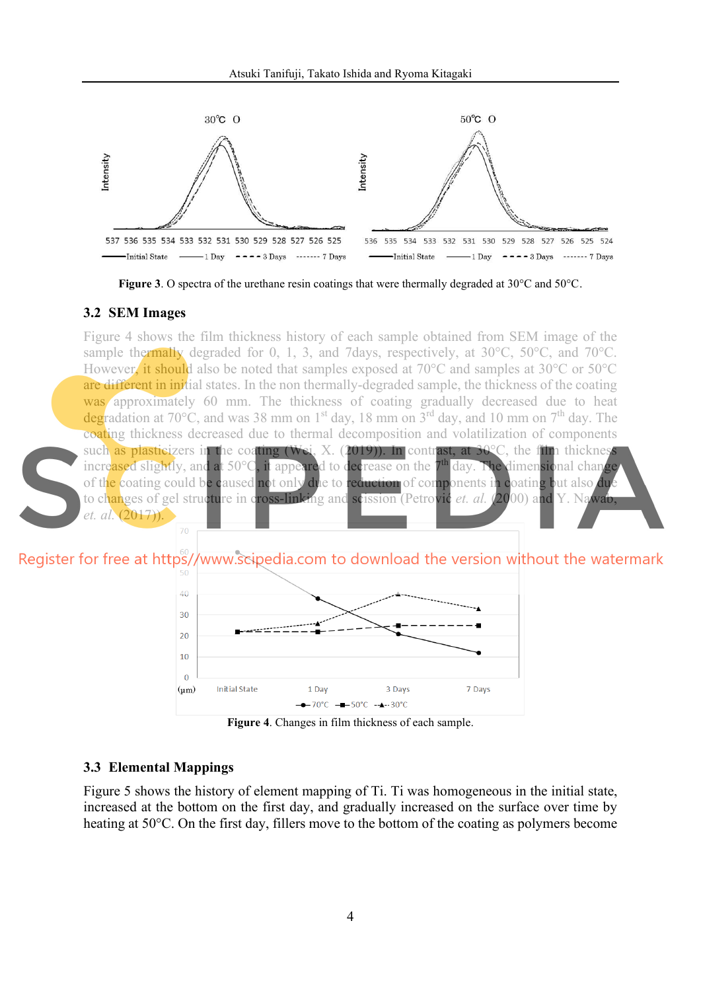

**Figure 3**. O spectra of the urethane resin coatings that were thermally degraded at 30°C and 50°C.

#### **3.2 SEM Images**

Figure 4 shows the film thickness history of each sample obtained from SEM image of the sample thermally degraded for 0, 1, 3, and 7days, respectively, at 30°C, 50°C, and 70°C. However, it should also be noted that samples exposed at 70°C and samples at 30°C or 50°C are different in initial states. In the non thermally-degraded sample, the thickness of the coating was approximately 60 mm. The thickness of coating gradually decreased due to heat degradation at 70 $^{\circ}$ C, and was 38 mm on 1<sup>st</sup> day, 18 mm on 3<sup>rd</sup> day, and 10 mm on 7<sup>th</sup> day. The coating thickness decreased due to thermal decomposition and volatilization of components such as plasticizers in the coating (Wei, X. (2019)). In contrast, at  $30^{\circ}$ C, the film thickness increased slightly, and at 50°C, it appeared to decrease on the 7<sup>th</sup> day. The dimensional change of the coating could be caused not only due to reduction of components in coating but also due to changes of gel structure in cross-linking and scission (Petrović *et. al.* (2000) and Y. Nawab, *et. al.* (2017)).

Register for free at https//www.scipedia.com to download the version without the watermark



**Figure 4**. Changes in film thickness of each sample.

#### **3.3 Elemental Mappings**

Figure 5 shows the history of element mapping of Ti. Ti was homogeneous in the initial state, increased at the bottom on the first day, and gradually increased on the surface over time by heating at 50°C. On the first day, fillers move to the bottom of the coating as polymers become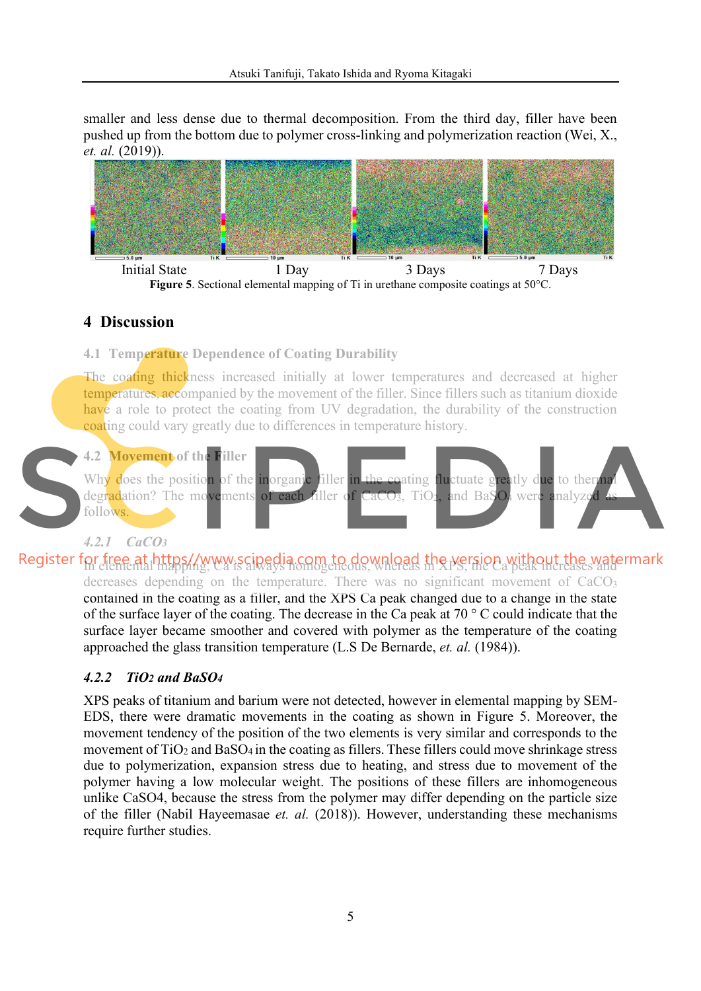smaller and less dense due to thermal decomposition. From the third day, filler have been pushed up from the bottom due to polymer cross-linking and polymerization reaction (Wei, X., *et. al.* (2019)).



# **4 Discussion**

**4.1 Temperature Dependence of Coating Durability** 

The coating thickness increased initially at lower temperatures and decreased at higher temperatures, accompanied by the movement of the filler. Since fillers such as titanium dioxide have a role to protect the coating from UV degradation, the durability of the construction coating could vary greatly due to differences in temperature history.



# *4.2.1 CaCO3*

Register for free at https//www.scipedia.com to download the version without the watermark decreases depending on the temperature. There was no significant movement of CaCO<sub>3</sub> contained in the coating as a filler, and the XPS Ca peak changed due to a change in the state of the surface layer of the coating. The decrease in the Ca peak at 70 ° C could indicate that the surface layer became smoother and covered with polymer as the temperature of the coating approached the glass transition temperature (L.S De Bernarde, *et. al.* (1984)).

## *4.2.2 TiO2 and BaSO4*

XPS peaks of titanium and barium were not detected, however in elemental mapping by SEM-EDS, there were dramatic movements in the coating as shown in Figure 5. Moreover, the movement tendency of the position of the two elements is very similar and corresponds to the movement of TiO<sub>2</sub> and BaSO<sub>4</sub> in the coating as fillers. These fillers could move shrinkage stress due to polymerization, expansion stress due to heating, and stress due to movement of the polymer having a low molecular weight. The positions of these fillers are inhomogeneous unlike CaSO4, because the stress from the polymer may differ depending on the particle size of the filler (Nabil Hayeemasae *et. al.* (2018)). However, understanding these mechanisms require further studies.